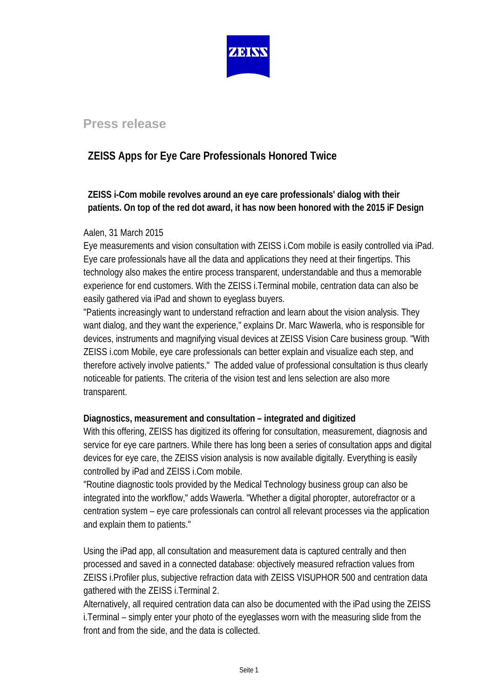

# **Press release**

# **ZEISS Apps for Eye Care Professionals Honored Twice**

## **ZEISS i-Com mobile revolves around an eye care professionals' dialog with their patients. On top of the red dot award, it has now been honored with the 2015 iF Design**

## Aalen, 31 March 2015

Eye measurements and vision consultation with ZEISS i.Com mobile is easily controlled via iPad. Eye care professionals have all the data and applications they need at their fingertips. This technology also makes the entire process transparent, understandable and thus a memorable experience for end customers. With the ZEISS i.Terminal mobile, centration data can also be easily gathered via iPad and shown to eyeglass buyers.

"Patients increasingly want to understand refraction and learn about the vision analysis. They want dialog, and they want the experience," explains Dr. Marc Wawerla, who is responsible for devices, instruments and magnifying visual devices at ZEISS Vision Care business group. "With ZEISS i.com Mobile, eye care professionals can better explain and visualize each step, and therefore actively involve patients." The added value of professional consultation is thus clearly noticeable for patients. The criteria of the vision test and lens selection are also more transparent.

## **Diagnostics, measurement and consultation – integrated and digitized**

With this offering, ZEISS has digitized its offering for consultation, measurement, diagnosis and service for eye care partners. While there has long been a series of consultation apps and digital devices for eye care, the ZEISS vision analysis is now available digitally. Everything is easily controlled by iPad and ZEISS i.Com mobile.

"Routine diagnostic tools provided by the Medical Technology business group can also be integrated into the workflow," adds Wawerla. "Whether a digital phoropter, autorefractor or a centration system – eye care professionals can control all relevant processes via the application and explain them to patients."

Using the iPad app, all consultation and measurement data is captured centrally and then processed and saved in a connected database: objectively measured refraction values from ZEISS i.Profiler plus, subjective refraction data with ZEISS VISUPHOR 500 and centration data gathered with the ZEISS i.Terminal 2.

Alternatively, all required centration data can also be documented with the iPad using the ZEISS i.Terminal – simply enter your photo of the eyeglasses worn with the measuring slide from the front and from the side, and the data is collected.